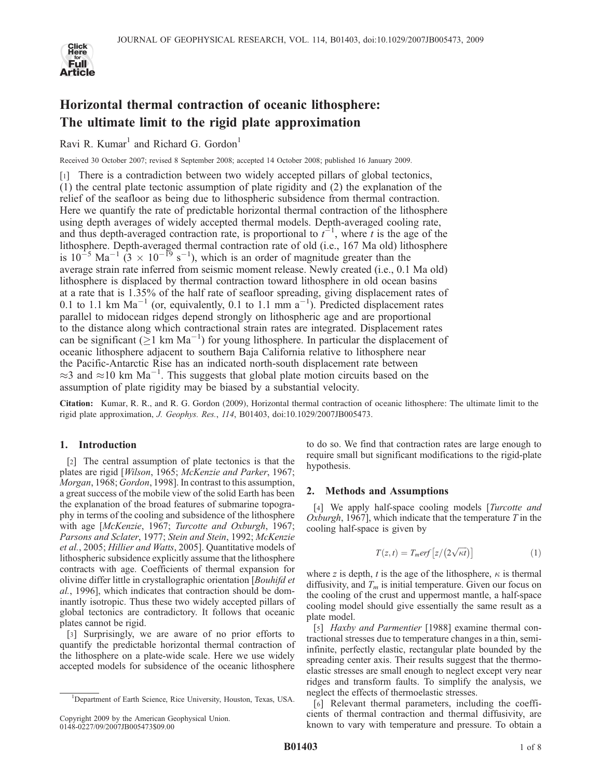

# Horizontal thermal contraction of oceanic lithosphere: The ultimate limit to the rigid plate approximation

Ravi R. Kumar<sup>1</sup> and Richard G. Gordon<sup>1</sup>

Received 30 October 2007; revised 8 September 2008; accepted 14 October 2008; published 16 January 2009.

[1] There is a contradiction between two widely accepted pillars of global tectonics, (1) the central plate tectonic assumption of plate rigidity and (2) the explanation of the relief of the seafloor as being due to lithospheric subsidence from thermal contraction. Here we quantify the rate of predictable horizontal thermal contraction of the lithosphere using depth averages of widely accepted thermal models. Depth-averaged cooling rate, and thus depth-averaged contraction rate, is proportional to  $t^{-1}$ , where t is the age of the lithosphere. Depth-averaged thermal contraction rate of old (i.e., 167 Ma old) lithosphere is  $10^{-5}$  Ma<sup>-1</sup> (3  $\times$  10<sup>-19</sup> s<sup>-1</sup>), which is an order of magnitude greater than the average strain rate inferred from seismic moment release. Newly created (i.e., 0.1 Ma old) lithosphere is displaced by thermal contraction toward lithosphere in old ocean basins at a rate that is 1.35% of the half rate of seafloor spreading, giving displacement rates of 0.1 to 1.1 km  $Ma^{-1}$  (or, equivalently, 0.1 to 1.1 mm  $a^{-1}$ ). Predicted displacement rates parallel to midocean ridges depend strongly on lithospheric age and are proportional to the distance along which contractional strain rates are integrated. Displacement rates can be significant ( $\geq$ 1 km Ma<sup>-1</sup>) for young lithosphere. In particular the displacement of oceanic lithosphere adjacent to southern Baja California relative to lithosphere near the Pacific-Antarctic Rise has an indicated north-south displacement rate between  $\approx$ 3 and  $\approx$ 10 km Ma<sup>-1</sup>. This suggests that global plate motion circuits based on the assumption of plate rigidity may be biased by a substantial velocity.

Citation: Kumar, R. R., and R. G. Gordon (2009), Horizontal thermal contraction of oceanic lithosphere: The ultimate limit to the rigid plate approximation, J. Geophys. Res., 114, B01403, doi:10.1029/2007JB005473.

# 1. Introduction

[2] The central assumption of plate tectonics is that the plates are rigid [Wilson, 1965; McKenzie and Parker, 1967; Morgan, 1968; Gordon, 1998]. In contrast to this assumption, a great success of the mobile view of the solid Earth has been the explanation of the broad features of submarine topography in terms of the cooling and subsidence of the lithosphere with age [McKenzie, 1967; Turcotte and Oxburgh, 1967; Parsons and Sclater, 1977; Stein and Stein, 1992; McKenzie et al., 2005; Hillier and Watts, 2005]. Quantitative models of lithospheric subsidence explicitly assume that the lithosphere contracts with age. Coefficients of thermal expansion for olivine differ little in crystallographic orientation [Bouhifd et al., 1996], which indicates that contraction should be dominantly isotropic. Thus these two widely accepted pillars of global tectonics are contradictory. It follows that oceanic plates cannot be rigid.

[3] Surprisingly, we are aware of no prior efforts to quantify the predictable horizontal thermal contraction of the lithosphere on a plate-wide scale. Here we use widely accepted models for subsidence of the oceanic lithosphere

to do so. We find that contraction rates are large enough to require small but significant modifications to the rigid-plate hypothesis.

# 2. Methods and Assumptions

[4] We apply half-space cooling models [*Turcotte and* Oxburgh, 1967], which indicate that the temperature  $T$  in the cooling half-space is given by

$$
T(z,t) = T_m erf [z/(2\sqrt{\kappa t})]
$$
 (1)

where z is depth, t is the age of the lithosphere,  $\kappa$  is thermal diffusivity, and  $T_m$  is initial temperature. Given our focus on the cooling of the crust and uppermost mantle, a half-space cooling model should give essentially the same result as a plate model.

[5] Haxby and Parmentier [1988] examine thermal contractional stresses due to temperature changes in a thin, semiinfinite, perfectly elastic, rectangular plate bounded by the spreading center axis. Their results suggest that the thermoelastic stresses are small enough to neglect except very near ridges and transform faults. To simplify the analysis, we neglect the effects of thermoelastic stresses.

[6] Relevant thermal parameters, including the coefficients of thermal contraction and thermal diffusivity, are known to vary with temperature and pressure. To obtain a

<sup>&</sup>lt;sup>1</sup>Department of Earth Science, Rice University, Houston, Texas, USA.

Copyright 2009 by the American Geophysical Union. 0148-0227/09/2007JB005473\$09.00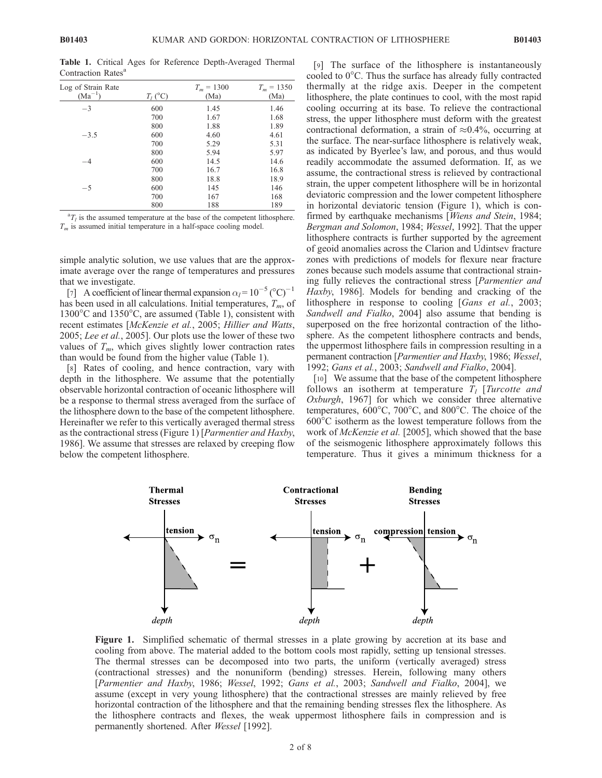Log of Strain Rate  $(Ma^{-1})$  $T_l$  (°C)  $T_m = 1300$ (Ma)  $T_m = 1350$ (Ma)  $-3$  600 1.45 1.46 700 1.67 1.68 800 1.88 1.89<br>600 4.60 4.61  $-3.5$  600 4.60 4.61 700 5.29 5.31 800 5.94 5.97<br>600 14.5 14.6  $-4$  600 14.5 14.6 700 16.7 16.8 800 18.8 18.9  $-5$  600 145 146 700 167 168 800 188 189

Table 1. Critical Ages for Reference Depth-Averaged Thermal Contraction Rates<sup>a</sup>

 ${}^{a}T_{l}$  is the assumed temperature at the base of the competent lithosphere.  $T_m$  is assumed initial temperature in a half-space cooling model.

simple analytic solution, we use values that are the approximate average over the range of temperatures and pressures that we investigate.

[7] A coefficient of linear thermal expansion  $\alpha_l = 10^{-5} (°C)^{-1}$ has been used in all calculations. Initial temperatures,  $T_m$ , of  $1300^{\circ}$ C and  $1350^{\circ}$ C, are assumed (Table 1), consistent with recent estimates [McKenzie et al., 2005; Hillier and Watts, 2005; Lee et al., 2005]. Our plots use the lower of these two values of  $T_m$ , which gives slightly lower contraction rates than would be found from the higher value (Table 1).

[8] Rates of cooling, and hence contraction, vary with depth in the lithosphere. We assume that the potentially observable horizontal contraction of oceanic lithosphere will be a response to thermal stress averaged from the surface of the lithosphere down to the base of the competent lithosphere. Hereinafter we refer to this vertically averaged thermal stress as the contractional stress (Figure 1) [Parmentier and Haxby, 1986]. We assume that stresses are relaxed by creeping flow below the competent lithosphere.

[9] The surface of the lithosphere is instantaneously cooled to  $0^{\circ}$ C. Thus the surface has already fully contracted thermally at the ridge axis. Deeper in the competent lithosphere, the plate continues to cool, with the most rapid cooling occurring at its base. To relieve the contractional stress, the upper lithosphere must deform with the greatest contractional deformation, a strain of  $\approx 0.4\%$ , occurring at the surface. The near-surface lithosphere is relatively weak, as indicated by Byerlee's law, and porous, and thus would readily accommodate the assumed deformation. If, as we assume, the contractional stress is relieved by contractional strain, the upper competent lithosphere will be in horizontal deviatoric compression and the lower competent lithosphere in horizontal deviatoric tension (Figure 1), which is confirmed by earthquake mechanisms [Wiens and Stein, 1984; Bergman and Solomon, 1984; Wessel, 1992]. That the upper lithosphere contracts is further supported by the agreement of geoid anomalies across the Clarion and Udintsev fracture zones with predictions of models for flexure near fracture zones because such models assume that contractional straining fully relieves the contractional stress [Parmentier and Haxby, 1986]. Models for bending and cracking of the lithosphere in response to cooling [*Gans et al.*, 2003; Sandwell and Fialko, 2004] also assume that bending is superposed on the free horizontal contraction of the lithosphere. As the competent lithosphere contracts and bends, the uppermost lithosphere fails in compression resulting in a permanent contraction [Parmentier and Haxby, 1986; Wessel, 1992; Gans et al., 2003; Sandwell and Fialko, 2004].

[10] We assume that the base of the competent lithosphere follows an isotherm at temperature  $T_l$  [Turcotte and Oxburgh, 1967] for which we consider three alternative temperatures,  $600^{\circ}$ C,  $700^{\circ}$ C, and  $800^{\circ}$ C. The choice of the  $600^{\circ}$ C isotherm as the lowest temperature follows from the work of *McKenzie et al.* [2005], which showed that the base of the seismogenic lithosphere approximately follows this temperature. Thus it gives a minimum thickness for a



Figure 1. Simplified schematic of thermal stresses in a plate growing by accretion at its base and cooling from above. The material added to the bottom cools most rapidly, setting up tensional stresses. The thermal stresses can be decomposed into two parts, the uniform (vertically averaged) stress (contractional stresses) and the nonuniform (bending) stresses. Herein, following many others [Parmentier and Haxby, 1986; Wessel, 1992; Gans et al., 2003; Sandwell and Fialko, 2004], we assume (except in very young lithosphere) that the contractional stresses are mainly relieved by free horizontal contraction of the lithosphere and that the remaining bending stresses flex the lithosphere. As the lithosphere contracts and flexes, the weak uppermost lithosphere fails in compression and is permanently shortened. After Wessel [1992].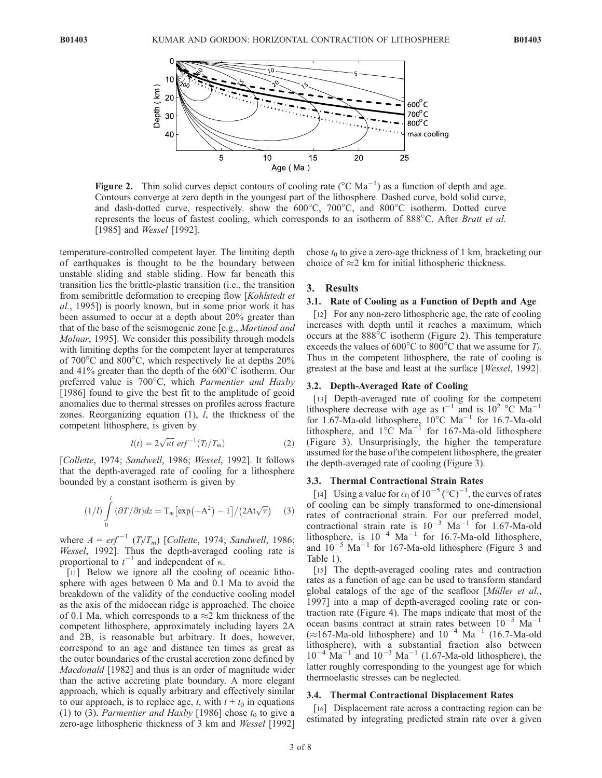

Figure 2. Thin solid curves depict contours of cooling rate ( $^{\circ}$ C Ma<sup>-1</sup>) as a function of depth and age. Contours converge at zero depth in the youngest part of the lithosphere. Dashed curve, bold solid curve, and dash-dotted curve, respectively. show the  $600^{\circ}$ C,  $700^{\circ}$ C, and  $800^{\circ}$ C isotherm. Dotted curve represents the locus of fastest cooling, which corresponds to an isotherm of 888°C. After *Bratt et al.* [1985] and *Wessel* [1992].

temperature-controlled competent layer. The limiting depth of earthquakes is thought to be the boundary between unstable sliding and stable sliding. How far beneath this transition lies the brittle-plastic transition (i.e., the transition from semibrittle deformation to creeping flow [Kohlstedt et al., 1995]) is poorly known, but in some prior work it has been assumed to occur at a depth about 20% greater than that of the base of the seismogenic zone [e.g., Martinod and Molnar, 1995]. We consider this possibility through models with limiting depths for the competent layer at temperatures of  $700^{\circ}$ C and  $800^{\circ}$ C, which respectively lie at depths  $20\%$ and 41% greater than the depth of the  $600^{\circ}$ C isotherm. Our preferred value is 700°C, which Parmentier and Haxby [1986] found to give the best fit to the amplitude of geoid anomalies due to thermal stresses on profiles across fracture zones. Reorganizing equation (1), l, the thickness of the competent lithosphere, is given by

$$
l(t) = 2\sqrt{\kappa t} \, erf^{-1}(T_l/T_m) \tag{2}
$$

[Collette, 1974; Sandwell, 1986; Wessel, 1992]. It follows that the depth-averaged rate of cooling for a lithosphere bounded by a constant isotherm is given by

$$
(1/l)\int_{0}^{l} (\partial T/\partial t)dz = \mathrm{T}_{m} \big[\exp(-\mathrm{A}^{2})-1\big]/\big(2\mathrm{At}\sqrt{\pi}\big) \quad (3)
$$

where  $A = erf^{-1} (T_l/T_m)$  [Collette, 1974; Sandwell, 1986; Wessel, 1992]. Thus the depth-averaged cooling rate is proportional to  $t^{-1}$  and independent of  $\kappa$ .

[11] Below we ignore all the cooling of oceanic lithosphere with ages between 0 Ma and 0.1 Ma to avoid the breakdown of the validity of the conductive cooling model as the axis of the midocean ridge is approached. The choice of 0.1 Ma, which corresponds to a  $\approx$  2 km thickness of the competent lithosphere, approximately including layers 2A and 2B, is reasonable but arbitrary. It does, however, correspond to an age and distance ten times as great as the outer boundaries of the crustal accretion zone defined by Macdonald [1982] and thus is an order of magnitude wider than the active accreting plate boundary. A more elegant approach, which is equally arbitrary and effectively similar to our approach, is to replace age, t, with  $t + t_0$  in equations (1) to (3). Parmentier and Haxby [1986] chose  $t_0$  to give a zero-age lithospheric thickness of 3 km and Wessel [1992] chose  $t_0$  to give a zero-age thickness of 1 km, bracketing our choice of  $\approx$ 2 km for initial lithospheric thickness.

### 3. Results

## 3.1. Rate of Cooling as a Function of Depth and Age

[12] For any non-zero lithospheric age, the rate of cooling increases with depth until it reaches a maximum, which occurs at the  $888^{\circ}$ C isotherm (Figure 2). This temperature exceeds the values of  $600^{\circ}$ C to  $800^{\circ}$ C that we assume for  $T_l$ . Thus in the competent lithosphere, the rate of cooling is greatest at the base and least at the surface [Wessel, 1992].

### 3.2. Depth-Averaged Rate of Cooling

[13] Depth-averaged rate of cooling for the competent lithosphere decrease with age as  $t^{-1}$  and is  $10^2$  °C Ma<sup>-1</sup> for 1.67-Ma-old lithosphere,  $10^{\circ}$ C Ma<sup>-1</sup> for 16.7-Ma-old lithosphere, and  $1^{\circ}$ C Ma<sup>-1</sup> for 167-Ma-old lithosphere (Figure 3). Unsurprisingly, the higher the temperature assumed for the base of the competent lithosphere, the greater the depth-averaged rate of cooling (Figure 3).

## 3.3. Thermal Contractional Strain Rates

[14] Using a value for  $\alpha_1$  of  $10^{-5}$  (°C)<sup>-1</sup>, the curves of rates of cooling can be simply transformed to one-dimensional rates of contractional strain. For our preferred model, contractional strain rate is  $10^{-3}$  Ma<sup>-1</sup> for 1.67-Ma-old lithosphere, is  $10^{-4}$  Ma<sup>-1</sup> for 16.7-Ma-old lithosphere, and  $10^{-5}$  Ma<sup>-1</sup> for 167-Ma-old lithosphere (Figure 3 and Table 1).

[15] The depth-averaged cooling rates and contraction rates as a function of age can be used to transform standard global catalogs of the age of the seafloor [*Müller et al.*, 1997] into a map of depth-averaged cooling rate or contraction rate (Figure 4). The maps indicate that most of the ocean basins contract at strain rates between  $10^{-5}$  Ma<sup>-1</sup>  $(\approx 167$ -Ma-old lithosphere) and  $10^{-4}$  Ma<sup>-1</sup> (16.7-Ma-old lithosphere), with a substantial fraction also between  $10^{-4}$  Ma<sup>-1</sup> and  $10^{-3}$  Ma<sup>-1</sup> (1.67-Ma-old lithosphere), the latter roughly corresponding to the youngest age for which thermoelastic stresses can be neglected.

## 3.4. Thermal Contractional Displacement Rates

[16] Displacement rate across a contracting region can be estimated by integrating predicted strain rate over a given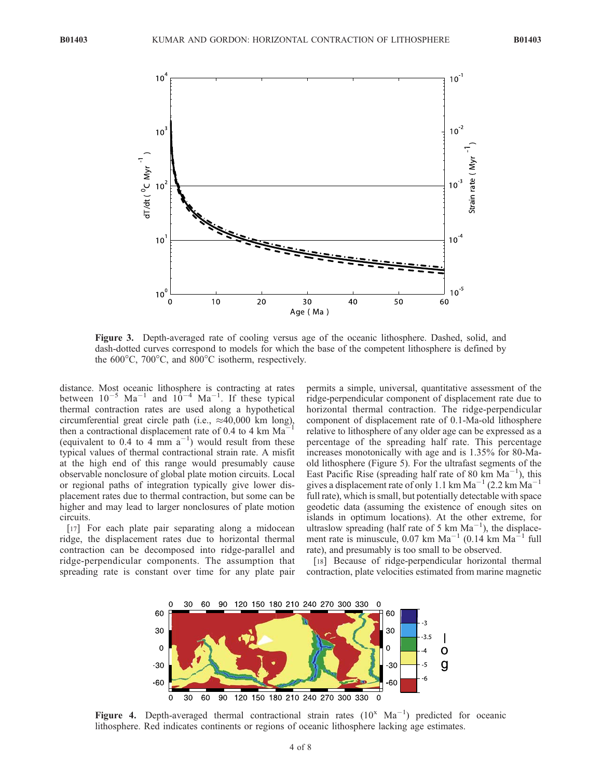

Figure 3. Depth-averaged rate of cooling versus age of the oceanic lithosphere. Dashed, solid, and dash-dotted curves correspond to models for which the base of the competent lithosphere is defined by the  $600^{\circ}$ C,  $700^{\circ}$ C, and  $800^{\circ}$ C isotherm, respectively.

distance. Most oceanic lithosphere is contracting at rates between  $10^{-5}$  Ma<sup>-1</sup> and  $10^{-4}$  Ma<sup>-1</sup>. If these typical thermal contraction rates are used along a hypothetical circumferential great circle path (i.e.,  $\approx 40,000$  km long), then a contractional displacement rate of 0.4 to 4 km  $Ma^{-1}$ (equivalent to 0.4 to  $\overline{4}$  mm  $\overline{a}^{-1}$ ) would result from these typical values of thermal contractional strain rate. A misfit at the high end of this range would presumably cause observable nonclosure of global plate motion circuits. Local or regional paths of integration typically give lower displacement rates due to thermal contraction, but some can be higher and may lead to larger nonclosures of plate motion circuits.

[17] For each plate pair separating along a midocean ridge, the displacement rates due to horizontal thermal contraction can be decomposed into ridge-parallel and ridge-perpendicular components. The assumption that spreading rate is constant over time for any plate pair

permits a simple, universal, quantitative assessment of the ridge-perpendicular component of displacement rate due to horizontal thermal contraction. The ridge-perpendicular component of displacement rate of 0.1-Ma-old lithosphere relative to lithosphere of any older age can be expressed as a percentage of the spreading half rate. This percentage increases monotonically with age and is 1.35% for 80-Maold lithosphere (Figure 5). For the ultrafast segments of the East Pacific Rise (spreading half rate of 80 km  $Ma^{-1}$ ), this gives a displacement rate of only 1.1 km  $Ma^{-1}$  (2.2 km  $Ma^{-1}$ ) full rate), which is small, but potentially detectable with space geodetic data (assuming the existence of enough sites on islands in optimum locations). At the other extreme, for ultraslow spreading (half rate of 5 km  $Ma^{-1}$ ), the displacement rate is minuscule,  $0.07 \text{ km } \text{Ma}^{-1}$  (0.14 km  $\text{Ma}^{-1}$  full rate), and presumably is too small to be observed.

[18] Because of ridge-perpendicular horizontal thermal contraction, plate velocities estimated from marine magnetic



Figure 4. Depth-averaged thermal contractional strain rates  $(10^x \text{ Ma}^{-1})$  predicted for oceanic lithosphere. Red indicates continents or regions of oceanic lithosphere lacking age estimates.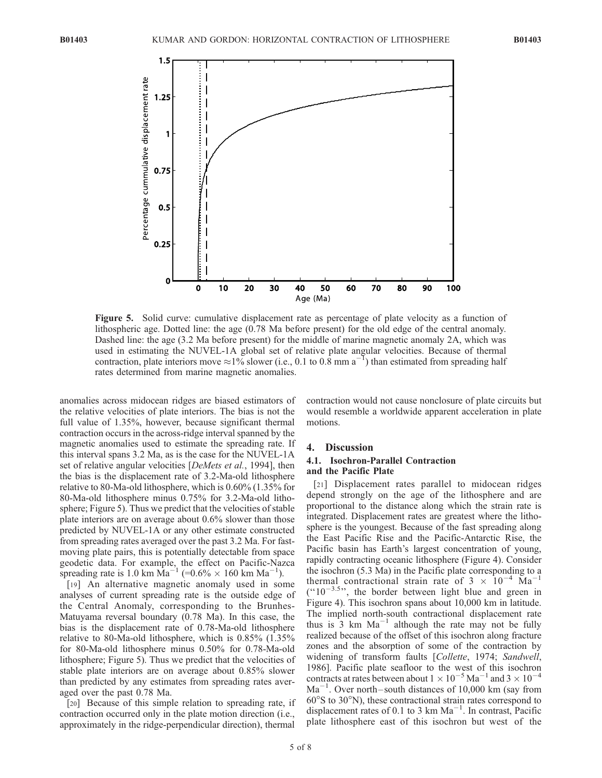

Figure 5. Solid curve: cumulative displacement rate as percentage of plate velocity as a function of lithospheric age. Dotted line: the age (0.78 Ma before present) for the old edge of the central anomaly. Dashed line: the age (3.2 Ma before present) for the middle of marine magnetic anomaly 2A, which was used in estimating the NUVEL-1A global set of relative plate angular velocities. Because of thermal contraction, plate interiors move  $\approx 1\%$  slower (i.e., 0.1 to 0.8 mm a<sup>-1</sup>) than estimated from spreading half rates determined from marine magnetic anomalies.

anomalies across midocean ridges are biased estimators of the relative velocities of plate interiors. The bias is not the full value of 1.35%, however, because significant thermal contraction occurs in the across-ridge interval spanned by the magnetic anomalies used to estimate the spreading rate. If this interval spans 3.2 Ma, as is the case for the NUVEL-1A set of relative angular velocities [DeMets et al., 1994], then the bias is the displacement rate of 3.2-Ma-old lithosphere relative to 80-Ma-old lithosphere, which is 0.60% (1.35% for 80-Ma-old lithosphere minus 0.75% for 3.2-Ma-old lithosphere; Figure 5). Thus we predict that the velocities of stable plate interiors are on average about 0.6% slower than those predicted by NUVEL-1A or any other estimate constructed from spreading rates averaged over the past 3.2 Ma. For fastmoving plate pairs, this is potentially detectable from space geodetic data. For example, the effect on Pacific-Nazca spreading rate is 1.0 km  $\overline{Ma}^{-1}$  (=0.6%  $\times$  160 km  $\overline{Ma}^{-1}$ ).

[19] An alternative magnetic anomaly used in some analyses of current spreading rate is the outside edge of the Central Anomaly, corresponding to the Brunhes-Matuyama reversal boundary (0.78 Ma). In this case, the bias is the displacement rate of 0.78-Ma-old lithosphere relative to 80-Ma-old lithosphere, which is 0.85% (1.35% for 80-Ma-old lithosphere minus 0.50% for 0.78-Ma-old lithosphere; Figure 5). Thus we predict that the velocities of stable plate interiors are on average about 0.85% slower than predicted by any estimates from spreading rates averaged over the past 0.78 Ma.

[20] Because of this simple relation to spreading rate, if contraction occurred only in the plate motion direction (i.e., approximately in the ridge-perpendicular direction), thermal

contraction would not cause nonclosure of plate circuits but would resemble a worldwide apparent acceleration in plate motions.

## 4. Discussion

# 4.1. Isochron-Parallel Contraction and the Pacific Plate

[21] Displacement rates parallel to midocean ridges depend strongly on the age of the lithosphere and are proportional to the distance along which the strain rate is integrated. Displacement rates are greatest where the lithosphere is the youngest. Because of the fast spreading along the East Pacific Rise and the Pacific-Antarctic Rise, the Pacific basin has Earth's largest concentration of young, rapidly contracting oceanic lithosphere (Figure 4). Consider the isochron (5.3 Ma) in the Pacific plate corresponding to a thermal contractional strain rate of  $3 \times 10^{-4}$  Ma<sup>-1</sup>  $($ "10<sup>-3.5</sup>", the border between light blue and green in Figure 4). This isochron spans about 10,000 km in latitude. The implied north-south contractional displacement rate thus is  $\overline{3}$  km Ma<sup>-1</sup> although the rate may not be fully realized because of the offset of this isochron along fracture zones and the absorption of some of the contraction by widening of transform faults [Collette, 1974; Sandwell, 1986]. Pacific plate seafloor to the west of this isochron contracts at rates between about  $1 \times 10^{-5}$  Ma<sup>-1</sup> and  $3 \times 10^{-4}$  $Ma^{-1}$ . Over north-south distances of 10,000 km (say from  $60^{\circ}$ S to 30 $^{\circ}$ N), these contractional strain rates correspond to displacement rates of 0.1 to 3 km  $Ma^{-1}$ . In contrast, Pacific plate lithosphere east of this isochron but west of the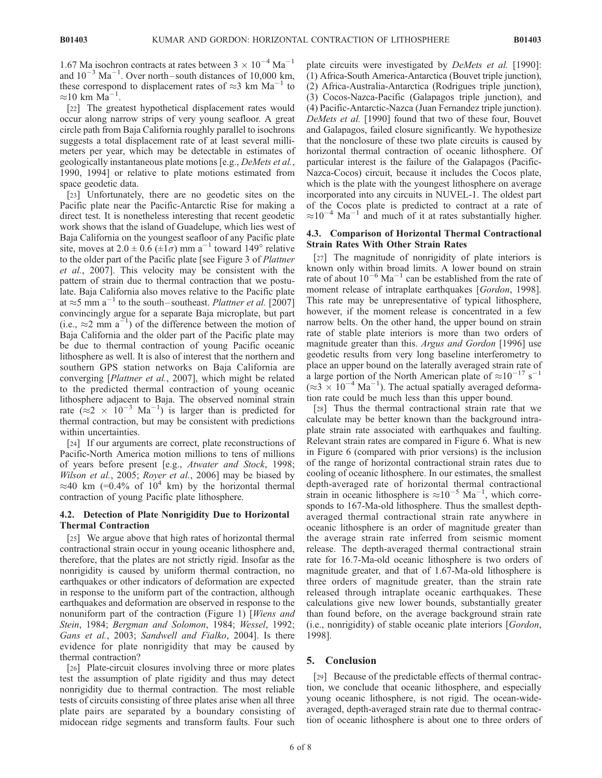1.67 Ma isochron contracts at rates between  $3 \times 10^{-4}$  Ma<sup>-1</sup> and  $10^{-3}$  Ma<sup>-1</sup>. Over north-south distances of 10,000 km, these correspond to displacement rates of  $\approx$ 3 km Ma<sup>-1</sup> to  $\approx$ 10 km Ma<sup>-1</sup>.

[22] The greatest hypothetical displacement rates would occur along narrow strips of very young seafloor. A great circle path from Baja California roughly parallel to isochrons suggests a total displacement rate of at least several millimeters per year, which may be detectable in estimates of geologically instantaneous plate motions [e.g., DeMets et al., 1990, 1994] or relative to plate motions estimated from space geodetic data.

[23] Unfortunately, there are no geodetic sites on the Pacific plate near the Pacific-Antarctic Rise for making a direct test. It is nonetheless interesting that recent geodetic work shows that the island of Guadelupe, which lies west of Baja California on the youngest seafloor of any Pacific plate site, moves at  $2.0 \pm 0.6 \ (\pm 1\sigma)$  mm a<sup>-1</sup> toward 149° relative to the older part of the Pacific plate [see Figure 3 of Plattner et al., 2007]. This velocity may be consistent with the pattern of strain due to thermal contraction that we postulate. Baja California also moves relative to the Pacific plate at  $\approx$ 5 mm a<sup>-1</sup> to the south-southeast. *Plattner et al.* [2007] convincingly argue for a separate Baja microplate, but part (i.e.,  $\approx$ 2 mm a<sup>-1</sup>) of the difference between the motion of Baja California and the older part of the Pacific plate may be due to thermal contraction of young Pacific oceanic lithosphere as well. It is also of interest that the northern and southern GPS station networks on Baja California are converging [Plattner et al., 2007], which might be related to the predicted thermal contraction of young oceanic lithosphere adjacent to Baja. The observed nominal strain rate  $(z^2 \times 10^{-3} \text{ Ma}^{-1})$  is larger than is predicted for thermal contraction, but may be consistent with predictions within uncertainties.

[24] If our arguments are correct, plate reconstructions of Pacific-North America motion millions to tens of millions of years before present [e.g., Atwater and Stock, 1998; Wilson et al., 2005; Royer et al., 2006] may be biased by  $\approx$ 40 km (=0.4% of 10<sup>4</sup> km) by the horizontal thermal contraction of young Pacific plate lithosphere.

## 4.2. Detection of Plate Nonrigidity Due to Horizontal Thermal Contraction

[25] We argue above that high rates of horizontal thermal contractional strain occur in young oceanic lithosphere and, therefore, that the plates are not strictly rigid. Insofar as the nonrigidity is caused by uniform thermal contraction, no earthquakes or other indicators of deformation are expected in response to the uniform part of the contraction, although earthquakes and deformation are observed in response to the nonuniform part of the contraction (Figure 1) [Wiens and Stein, 1984; Bergman and Solomon, 1984; Wessel, 1992; Gans et al., 2003; Sandwell and Fialko, 2004]. Is there evidence for plate nonrigidity that may be caused by thermal contraction?

[26] Plate-circuit closures involving three or more plates test the assumption of plate rigidity and thus may detect nonrigidity due to thermal contraction. The most reliable tests of circuits consisting of three plates arise when all three plate pairs are separated by a boundary consisting of midocean ridge segments and transform faults. Four such

plate circuits were investigated by DeMets et al. [1990]: (1) Africa-South America-Antarctica (Bouvet triple junction), (2) Africa-Australia-Antarctica (Rodrigues triple junction), (3) Cocos-Nazca-Pacific (Galapagos triple junction), and (4) Pacific-Antarctic-Nazca (Juan Fernandez triple junction). DeMets et al. [1990] found that two of these four, Bouvet and Galapagos, failed closure significantly. We hypothesize that the nonclosure of these two plate circuits is caused by horizontal thermal contraction of oceanic lithosphere. Of particular interest is the failure of the Galapagos (Pacific-Nazca-Cocos) circuit, because it includes the Cocos plate, which is the plate with the youngest lithosphere on average incorporated into any circuits in NUVEL-1. The oldest part of the Cocos plate is predicted to contract at a rate of  $\approx 10^{-4}$  Ma<sup>-1</sup> and much of it at rates substantially higher.

## 4.3. Comparison of Horizontal Thermal Contractional Strain Rates With Other Strain Rates

[27] The magnitude of nonrigidity of plate interiors is known only within broad limits. A lower bound on strain rate of about  $10^{-6}$  Ma<sup>-1</sup> can be established from the rate of moment release of intraplate earthquakes [Gordon, 1998]. This rate may be unrepresentative of typical lithosphere, however, if the moment release is concentrated in a few narrow belts. On the other hand, the upper bound on strain rate of stable plate interiors is more than two orders of magnitude greater than this. Argus and Gordon [1996] use geodetic results from very long baseline interferometry to place an upper bound on the laterally averaged strain rate of a large portion of the North American plate of  $\approx 10^{-17}$  s<sup>-1</sup>  $(\approx 3 \times 10^{-4} \text{ Ma}^{-1})$ . The actual spatially averaged deformation rate could be much less than this upper bound.

[28] Thus the thermal contractional strain rate that we calculate may be better known than the background intraplate strain rate associated with earthquakes and faulting. Relevant strain rates are compared in Figure 6. What is new in Figure 6 (compared with prior versions) is the inclusion of the range of horizontal contractional strain rates due to cooling of oceanic lithosphere. In our estimates, the smallest depth-averaged rate of horizontal thermal contractional strain in oceanic lithosphere is  $\approx 10^{-5}$  Ma<sup>-1</sup>, which corresponds to 167-Ma-old lithosphere. Thus the smallest depthaveraged thermal contractional strain rate anywhere in oceanic lithosphere is an order of magnitude greater than the average strain rate inferred from seismic moment release. The depth-averaged thermal contractional strain rate for 16.7-Ma-old oceanic lithosphere is two orders of magnitude greater, and that of 1.67-Ma-old lithosphere is three orders of magnitude greater, than the strain rate released through intraplate oceanic earthquakes. These calculations give new lower bounds, substantially greater than found before, on the average background strain rate (i.e., nonrigidity) of stable oceanic plate interiors [Gordon, 1998].

# 5. Conclusion

[29] Because of the predictable effects of thermal contraction, we conclude that oceanic lithosphere, and especially young oceanic lithosphere, is not rigid. The ocean-wideaveraged, depth-averaged strain rate due to thermal contraction of oceanic lithosphere is about one to three orders of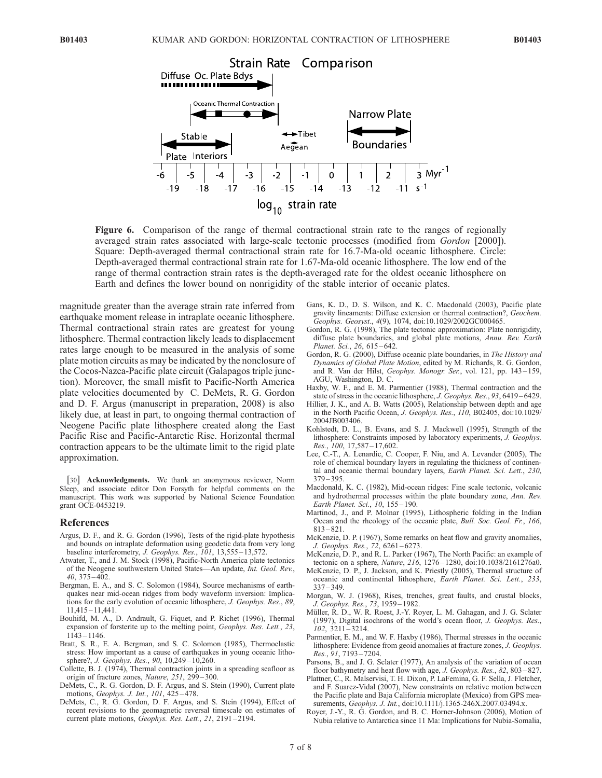

Figure 6. Comparison of the range of thermal contractional strain rate to the ranges of regionally averaged strain rates associated with large-scale tectonic processes (modified from Gordon [2000]). Square: Depth-averaged thermal contractional strain rate for 16.7-Ma-old oceanic lithosphere. Circle: Depth-averaged thermal contractional strain rate for 1.67-Ma-old oceanic lithosphere. The low end of the range of thermal contraction strain rates is the depth-averaged rate for the oldest oceanic lithosphere on Earth and defines the lower bound on nonrigidity of the stable interior of oceanic plates.

magnitude greater than the average strain rate inferred from earthquake moment release in intraplate oceanic lithosphere. Thermal contractional strain rates are greatest for young lithosphere. Thermal contraction likely leads to displacement rates large enough to be measured in the analysis of some plate motion circuits as may be indicated by the nonclosure of the Cocos-Nazca-Pacific plate circuit (Galapagos triple junction). Moreover, the small misfit to Pacific-North America plate velocities documented by C. DeMets, R. G. Gordon and D. F. Argus (manuscript in preparation, 2008) is also likely due, at least in part, to ongoing thermal contraction of Neogene Pacific plate lithosphere created along the East Pacific Rise and Pacific-Antarctic Rise. Horizontal thermal contraction appears to be the ultimate limit to the rigid plate approximation.

[30] **Acknowledgments.** We thank an anonymous reviewer, Norm Sleep, and associate editor Don Forsyth for helpful comments on the manuscript. This work was supported by National Science Foundation grant OCE-0453219.

#### References

- Argus, D. F., and R. G. Gordon (1996), Tests of the rigid-plate hypothesis and bounds on intraplate deformation using geodetic data from very long baseline interferometry, J. Geophys. Res., 101, 13,555-13,572.
- Atwater, T., and J. M. Stock (1998), Pacific-North America plate tectonics of the Neogene southwestern United States—An update, Int. Geol. Rev., 40, 375 – 402.
- Bergman, E. A., and S. C. Solomon (1984), Source mechanisms of earthquakes near mid-ocean ridges from body waveform inversion: Implications for the early evolution of oceanic lithosphere, J. Geophys. Res., 89, 11,415 – 11,441.
- Bouhifd, M. A., D. Andrault, G. Fiquet, and P. Richet (1996), Thermal expansion of forsterite up to the melting point, Geophys. Res. Lett., 23, 1143 – 1146.
- Bratt, S. R., E. A. Bergman, and S. C. Solomon (1985), Thermoelastic stress: How important as a cause of earthquakes in young oceanic lithosphere?, J. Geophys. Res., 90, 10,249 – 10,260.
- Collette, B. J. (1974), Thermal contraction joints in a spreading seafloor as origin of fracture zones, Nature, 251, 299 – 300.
- DeMets, C., R. G. Gordon, D. F. Argus, and S. Stein (1990), Current plate motions, Geophys. J. Int., 101, 425 – 478.
- DeMets, C., R. G. Gordon, D. F. Argus, and S. Stein (1994), Effect of recent revisions to the geomagnetic reversal timescale on estimates of current plate motions, Geophys. Res. Lett., 21, 2191-2194.
- Gans, K. D., D. S. Wilson, and K. C. Macdonald (2003), Pacific plate gravity lineaments: Diffuse extension or thermal contraction?, Geochem. Geophys. Geosyst., 4(9), 1074, doi:10.1029/2002GC000465.
- Gordon, R. G. (1998), The plate tectonic approximation: Plate nonrigidity, diffuse plate boundaries, and global plate motions, Annu. Rev. Earth Planet. Sci., 26, 615-642.
- Gordon, R. G. (2000), Diffuse oceanic plate boundaries, in The History and Dynamics of Global Plate Motion, edited by M. Richards, R. G. Gordon, and R. Van der Hilst, Geophys. Monogr. Ser., vol. 121, pp. 143-159, AGU, Washington, D. C.
- Haxby, W. F., and E. M. Parmentier (1988), Thermal contraction and the state of stress in the oceanic lithosphere, J. Geophys. Res., 93, 6419 – 6429.
- Hillier, J. K., and A. B. Watts (2005), Relationship between depth and age in the North Pacific Ocean, J. Geophys. Res., 110, B02405, doi:10.1029/ 2004JB003406.
- Kohlstedt, D. L., B. Evans, and S. J. Mackwell (1995), Strength of the lithosphere: Constraints imposed by laboratory experiments, J. Geophys. Res., 100, 17,587 – 17,602.
- Lee, C.-T., A. Lenardic, C. Cooper, F. Niu, and A. Levander (2005), The role of chemical boundary layers in regulating the thickness of continental and oceanic thermal boundary layers, Earth Planet. Sci. Lett., 230, 379 – 395.
- Macdonald, K. C. (1982), Mid-ocean ridges: Fine scale tectonic, volcanic and hydrothermal processes within the plate boundary zone, Ann. Rev. Earth Planet. Sci., 10, 155 – 190.
- Martinod, J., and P. Molnar (1995), Lithospheric folding in the Indian Ocean and the rheology of the oceanic plate, Bull. Soc. Geol. Fr., 166, 813 – 821.
- McKenzie, D. P. (1967), Some remarks on heat flow and gravity anomalies, J. Geophys. Res., 72, 6261 – 6273.
- McKenzie, D. P., and R. L. Parker (1967), The North Pacific: an example of tectonic on a sphere, Nature, 216, 1276-1280, doi:10.1038/2161276a0.
- McKenzie, D. P., J. Jackson, and K. Priestly (2005), Thermal structure of oceanic and continental lithosphere, Earth Planet. Sci. Lett., 233,  $337 - 349$
- Morgan, W. J. (1968), Rises, trenches, great faults, and crustal blocks, J. Geophys. Res., 73, 1959 – 1982.
- Müller, R. D., W. R. Roest, J.-Y. Royer, L. M. Gahagan, and J. G. Sclater (1997), Digital isochrons of the world's ocean floor, J. Geophys. Res.,  $102, 3211 - 3214.$
- Parmentier, E. M., and W. F. Haxby (1986), Thermal stresses in the oceanic lithosphere: Evidence from geoid anomalies at fracture zones, J. Geophys. Res., 91, 7193 – 7204.
- Parsons, B., and J. G. Sclater (1977), An analysis of the variation of ocean floor bathymetry and heat flow with age, *J. Geophys. Res.*, 82, 803-827.
- Plattner, C., R. Malservisi, T. H. Dixon, P. LaFemina, G. F. Sella, J. Fletcher, and F. Suarez-Vidal (2007), New constraints on relative motion between the Pacific plate and Baja California microplate (Mexico) from GPS measurements, Geophys. J. Int., doi:10.1111/j.1365-246X.2007.03494.x.
- Royer, J.-Y., R. G. Gordon, and B. C. Horner-Johnson (2006), Motion of Nubia relative to Antarctica since 11 Ma: Implications for Nubia-Somalia,